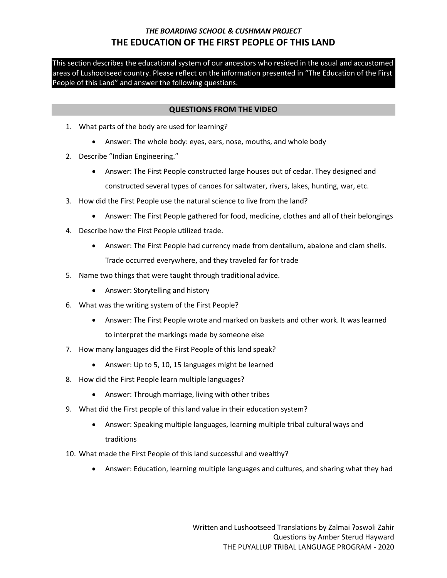This section describes the educational system of our ancestors who resided in the usual and accustomed areas of Lushootseed country. Please reflect on the information presented in "The Education of the First People of this Land" and answer the following questions.

#### **QUESTIONS FROM THE VIDEO**

- 1. What parts of the body are used for learning?
	- Answer: The whole body: eyes, ears, nose, mouths, and whole body
- 2. Describe "Indian Engineering."
	- Answer: The First People constructed large houses out of cedar. They designed and constructed several types of canoes for saltwater, rivers, lakes, hunting, war, etc.
- 3. How did the First People use the natural science to live from the land?
	- Answer: The First People gathered for food, medicine, clothes and all of their belongings
- 4. Describe how the First People utilized trade.
	- Answer: The First People had currency made from dentalium, abalone and clam shells. Trade occurred everywhere, and they traveled far for trade
- 5. Name two things that were taught through traditional advice.
	- Answer: Storytelling and history
- 6. What was the writing system of the First People?
	- Answer: The First People wrote and marked on baskets and other work. It was learned to interpret the markings made by someone else
- 7. How many languages did the First People of this land speak?
	- Answer: Up to 5, 10, 15 languages might be learned
- 8. How did the First People learn multiple languages?
	- Answer: Through marriage, living with other tribes
- 9. What did the First people of this land value in their education system?
	- Answer: Speaking multiple languages, learning multiple tribal cultural ways and traditions
- 10. What made the First People of this land successful and wealthy?
	- Answer: Education, learning multiple languages and cultures, and sharing what they had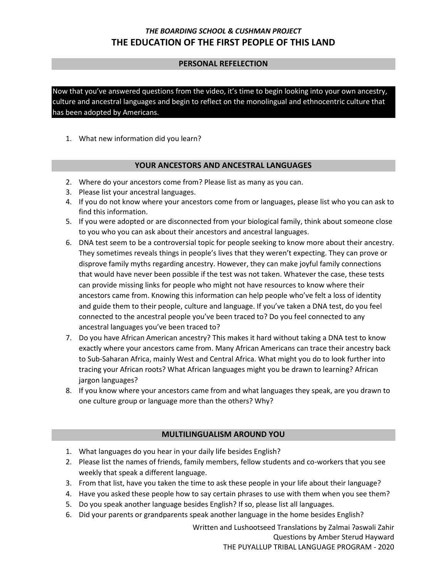### **PERSONAL REFELECTION**

Now that you've answered questions from the video, it's time to begin looking into your own ancestry, culture and ancestral languages and begin to reflect on the monolingual and ethnocentric culture that has been adopted by Americans.

1. What new information did you learn?

### **YOUR ANCESTORS AND ANCESTRAL LANGUAGES**

- 2. Where do your ancestors come from? Please list as many as you can.
- 3. Please list your ancestral languages.
- 4. If you do not know where your ancestors come from or languages, please list who you can ask to find this information.
- 5. If you were adopted or are disconnected from your biological family, think about someone close to you who you can ask about their ancestors and ancestral languages.
- 6. DNA test seem to be a controversial topic for people seeking to know more about their ancestry. They sometimes reveals things in people's lives that they weren't expecting. They can prove or disprove family myths regarding ancestry. However, they can make joyful family connections that would have never been possible if the test was not taken. Whatever the case, these tests can provide missing links for people who might not have resources to know where their ancestors came from. Knowing this information can help people who've felt a loss of identity and guide them to their people, culture and language. If you've taken a DNA test, do you feel connected to the ancestral people you've been traced to? Do you feel connected to any ancestral languages you've been traced to?
- 7. Do you have African American ancestry? This makes it hard without taking a DNA test to know exactly where your ancestors came from. Many African Americans can trace their ancestry back to Sub-Saharan Africa, mainly West and Central Africa. What might you do to look further into tracing your African roots? What African languages might you be drawn to learning? African jargon languages?
- 8. If you know where your ancestors came from and what languages they speak, are you drawn to one culture group or language more than the others? Why?

## **MULTILINGUALISM AROUND YOU**

- 1. What languages do you hear in your daily life besides English?
- 2. Please list the names of friends, family members, fellow students and co-workers that you see weekly that speak a different language.
- 3. From that list, have you taken the time to ask these people in your life about their language?
- 4. Have you asked these people how to say certain phrases to use with them when you see them?
- 5. Do you speak another language besides English? If so, please list all languages.
- 6. Did your parents or grandparents speak another language in the home besides English?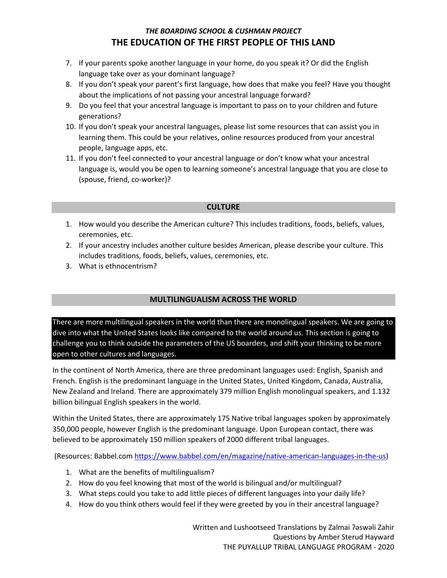- 7. If your parents spoke another language in your home, do you speak it? Or did the English language take over as your dominant language?
- 8. If you don't speak your parent's first language, how does that make you feel? Have you thought about the implications of not passing your ancestral language forward?
- 9. Do you feel that your ancestral language is important to pass on to your children and future generations?
- 10. If you don't speak your ancestral languages, please list some resources that can assist you in learning them. This could be your relatives, online resources produced from your ancestral people, language apps, etc.
- 11. If you don't feel connected to your ancestral language or don't know what your ancestral language is, would you be open to learning someone's ancestral language that you are close to (spouse, friend, co-worker)?

### **CULTURE**

- 1. How would you describe the American culture? This includes traditions, foods, beliefs, values, ceremonies, etc.
- 2. If your ancestry includes another culture besides American, please describe your culture. This includes traditions, foods, beliefs, values, ceremonies, etc.
- 3. What is ethnocentrism?

## **MULTILINGUALISM ACROSS THE WORLD**

There are more multilingual speakers in the world than there are monolingual speakers. We are going to dive into what the United States looks like compared to the world around us. This section is going to challenge you to think outside the parameters of the US boarders, and shift your thinking to be more open to other cultures and languages.

In the continent of North America, there are three predominant languages used: English, Spanish and French. English is the predominant language in the United States, United Kingdom, Canada, Australia, New Zealand and Ireland. There are approximately 379 million English monolingual speakers, and 1.132 billion bilingual English speakers in the world.

Within the United States, there are approximately 175 Native tribal languages spoken by approximately 350,000 people, however English is the predominant language. Upon European contact, there was believed to be approximately 150 million speakers of 2000 different tribal languages.

(Resources: Babbel.com [https://www.babbel.com/en/magazine/native-american-languages-in-the-us\)](https://www.babbel.com/en/magazine/native-american-languages-in-the-us)

- 1. What are the benefits of multilingualism?
- 2. How do you feel knowing that most of the world is bilingual and/or multilingual?
- 3. What steps could you take to add little pieces of different languages into your daily life?
- 4. How do you think others would feel if they were greeted by you in their ancestral language?

Written and Lushootseed Translations by Zalmai ʔəswəli Zahir Questions by Amber Sterud Hayward THE PUYALLUP TRIBAL LANGUAGE PROGRAM - 2020